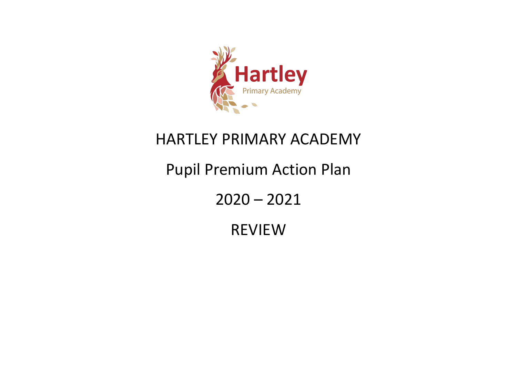

# HARTLEY PRIMARY ACADEMY

Pupil Premium Action Plan

 $2020 - 2021$ 

REVIEW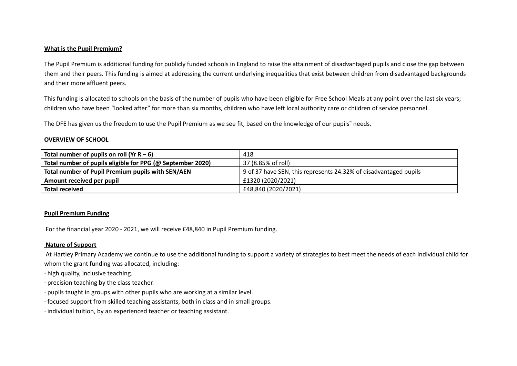#### **What is the Pupil Premium?**

The Pupil Premium is additional funding for publicly funded schools in England to raise the attainment of disadvantaged pupils and close the gap between them and their peers. This funding is aimed at addressing the current underlying inequalities that exist between children from disadvantaged backgrounds and their more affluent peers.

This funding is allocated to schools on the basis of the number of pupils who have been eligible for Free School Meals at any point over the last six years; children who have been "looked after" for more than six months, children who have left local authority care or children of service personnel.

The DFE has given us the freedom to use the Pupil Premium as we see fit, based on the knowledge of our pupils" needs.

#### **OVERVIEW OF SCHOOL**

| Total number of pupils on roll (Yr $R - 6$ )               | 418                                                              |
|------------------------------------------------------------|------------------------------------------------------------------|
| Total number of pupils eligible for PPG (@ September 2020) | 37 (8.85% of roll)                                               |
| Total number of Pupil Premium pupils with SEN/AEN          | 9 of 37 have SEN, this represents 24.32% of disadvantaged pupils |
| Amount received per pupil                                  | £1320 (2020/2021)                                                |
| <b>Total received</b>                                      | £48,840 (2020/2021)                                              |

#### **Pupil Premium Funding**

For the financial year 2020 - 2021, we will receive £48,840 in Pupil Premium funding.

#### **Nature of Support**

At Hartley Primary Academy we continue to use the additional funding to support a variety of strategies to best meet the needs of each individual child for whom the grant funding was allocated, including:

- ∙ high quality, inclusive teaching.
- ∙ precision teaching by the class teacher.
- ∙ pupils taught in groups with other pupils who are working at a similar level.
- ∙ focused support from skilled teaching assistants, both in class and in small groups.
- ∙ individual tuition, by an experienced teacher or teaching assistant.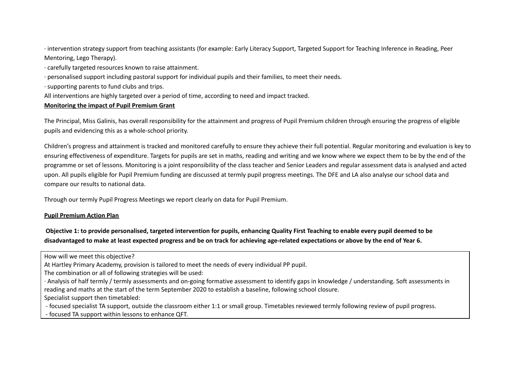∙ intervention strategy support from teaching assistants (for example: Early Literacy Support, Targeted Support for Teaching Inference in Reading, Peer Mentoring, Lego Therapy).

- ∙ carefully targeted resources known to raise attainment.
- ∙ personalised support including pastoral support for individual pupils and their families, to meet their needs.
- ∙ supporting parents to fund clubs and trips.
- All interventions are highly targeted over a period of time, according to need and impact tracked.

### **Monitoring the impact of Pupil Premium Grant**

The Principal, Miss Galinis, has overall responsibility for the attainment and progress of Pupil Premium children through ensuring the progress of eligible pupils and evidencing this as a whole-school priority.

Children's progress and attainment is tracked and monitored carefully to ensure they achieve their full potential. Regular monitoring and evaluation is key to ensuring effectiveness of expenditure. Targets for pupils are set in maths, reading and writing and we know where we expect them to be by the end of the programme or set of lessons. Monitoring is a joint responsibility of the class teacher and Senior Leaders and regular assessment data is analysed and acted upon. All pupils eligible for Pupil Premium funding are discussed at termly pupil progress meetings. The DFE and LA also analyse our school data and compare our results to national data.

Through our termly Pupil Progress Meetings we report clearly on data for Pupil Premium.

#### **Pupil Premium Action Plan**

Objective 1: to provide personalised, targeted intervention for pupils, enhancing Quality First Teaching to enable every pupil deemed to be disadvantaged to make at least expected progress and be on track for achieving age-related expectations or above by the end of Year 6.

- ∙ Analysis of half termly / termly assessments and on-going formative assessment to identify gaps in knowledge / understanding. Soft assessments in reading and maths at the start of the term September 2020 to establish a baseline, following school closure.
- Specialist support then timetabled:
- focused specialist TA support, outside the classroom either 1:1 or small group. Timetables reviewed termly following review of pupil progress.
- focused TA support within lessons to enhance QFT.

How will we meet this objective?

At Hartley Primary Academy, provision is tailored to meet the needs of every individual PP pupil.

The combination or all of following strategies will be used: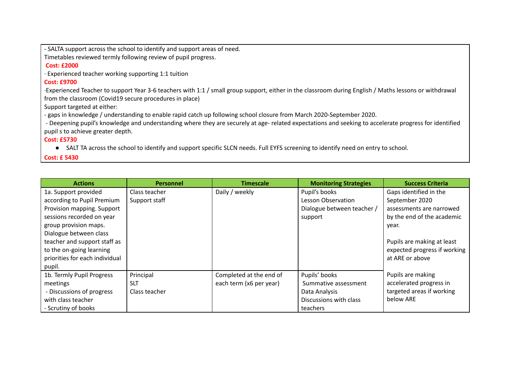- SALTA support across the school to identify and support areas of need.

Timetables reviewed termly following review of pupil progress.

## **Cost: £2000**

∙ Experienced teacher working supporting 1:1 tuition

## **Cost: £9700**

∙Experienced Teacher to support Year 3-6 teachers with 1:1 / small group support, either in the classroom during English / Maths lessons or withdrawal from the classroom (Covid19 secure procedures in place)

Support targeted at either:

- gaps in knowledge / understanding to enable rapid catch up following school closure from March 2020-September 2020.

- Deepening pupil's knowledge and understanding where they are securely at age- related expectations and seeking to accelerate progress for identified pupil s to achieve greater depth.

## **Cost: £5730**

● SALT TA across the school to identify and support specific SLCN needs. Full EYFS screening to identify need on entry to school.

### **Cost: £ 5430**

| <b>Actions</b>                 | <b>Personnel</b> | <b>Timescale</b>        | <b>Monitoring Strategies</b> | <b>Success Criteria</b>      |
|--------------------------------|------------------|-------------------------|------------------------------|------------------------------|
| 1a. Support provided           | Class teacher    | Daily / weekly          | Pupil's books                | Gaps identified in the       |
| according to Pupil Premium     | Support staff    |                         | Lesson Observation           | September 2020               |
| Provision mapping. Support     |                  |                         | Dialogue between teacher /   | assessments are narrowed     |
| sessions recorded on year      |                  |                         | support                      | by the end of the academic   |
| group provision maps.          |                  |                         |                              | year.                        |
| Dialogue between class         |                  |                         |                              |                              |
| teacher and support staff as   |                  |                         |                              | Pupils are making at least   |
| to the on-going learning       |                  |                         |                              | expected progress if working |
| priorities for each individual |                  |                         |                              | at ARE or above              |
| pupil.                         |                  |                         |                              |                              |
| 1b. Termly Pupil Progress      | Principal        | Completed at the end of | Pupils' books                | Pupils are making            |
| meetings                       | <b>SLT</b>       | each term (x6 per year) | Summative assessment         | accelerated progress in      |
| - Discussions of progress      | Class teacher    |                         | Data Analysis                | targeted areas if working    |
| with class teacher             |                  |                         | Discussions with class       | below ARE                    |
| - Scrutiny of books            |                  |                         | teachers                     |                              |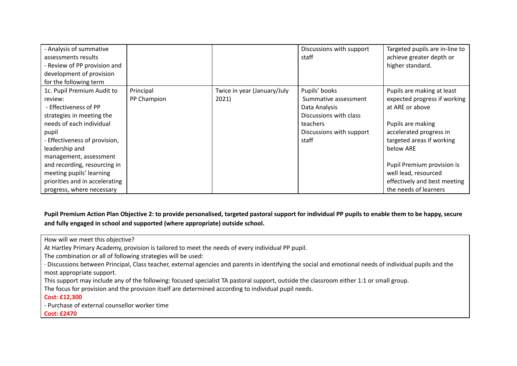| - Analysis of summative<br>assessments results<br>- Review of PP provision and<br>development of provision<br>for the following term                                                                                                                                                                                                     |                          |                                      | Discussions with support<br>staff                                                                                                        | Targeted pupils are in-line to<br>achieve greater depth or<br>higher standard.                                                                                                                                                                                                         |
|------------------------------------------------------------------------------------------------------------------------------------------------------------------------------------------------------------------------------------------------------------------------------------------------------------------------------------------|--------------------------|--------------------------------------|------------------------------------------------------------------------------------------------------------------------------------------|----------------------------------------------------------------------------------------------------------------------------------------------------------------------------------------------------------------------------------------------------------------------------------------|
| 1c. Pupil Premium Audit to<br>review:<br>- Effectiveness of PP<br>strategies in meeting the<br>needs of each individual<br>pupil<br>- Effectiveness of provision,<br>leadership and<br>management, assessment<br>and recording, resourcing in<br>meeting pupils' learning<br>priorities and in accelerating<br>progress, where necessary | Principal<br>PP Champion | Twice in year (January/July<br>2021) | Pupils' books<br>Summative assessment<br>Data Analysis<br>Discussions with class<br><b>teachers</b><br>Discussions with support<br>staff | Pupils are making at least<br>expected progress if working<br>at ARE or above<br>Pupils are making<br>accelerated progress in<br>targeted areas if working<br>below ARE<br>Pupil Premium provision is<br>well lead, resourced<br>effectively and best meeting<br>the needs of learners |

Pupil Premium Action Plan Objective 2: to provide personalised, targeted pastoral support for individual PP pupils to enable them to be happy, secure **and fully engaged in school and supported (where appropriate) outside school.**

How will we meet this objective?

At Hartley Primary Academy, provision is tailored to meet the needs of every individual PP pupil.

The combination or all of following strategies will be used:

∙ Discussions between Principal, Class teacher, external agencies and parents in identifying the social and emotional needs of individual pupils and the most appropriate support.

This support may include any of the following: focused specialist TA pastoral support, outside the classroom either 1:1 or small group.

The focus for provision and the provision itself are determined according to individual pupil needs.

**Cost: £12,300**

- Purchase of external counsellor worker time

**Cost: £2470**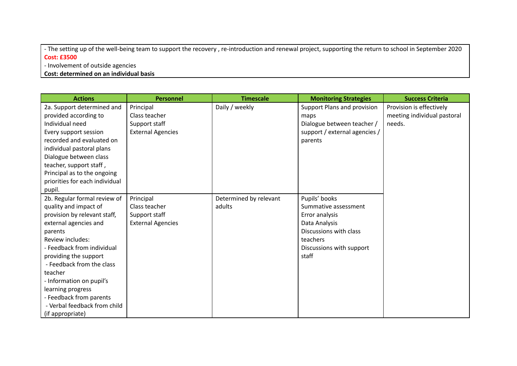- The setting up of the well-being team to support the recovery , re-introduction and renewal project, supporting the return to school in September 2020 **Cost: £3500**

- Involvement of outside agencies

**Cost: determined on an individual basis**

| <b>Actions</b>                 | <b>Personnel</b>         | <b>Timescale</b>       | <b>Monitoring Strategies</b>  | <b>Success Criteria</b>     |
|--------------------------------|--------------------------|------------------------|-------------------------------|-----------------------------|
| 2a. Support determined and     | Principal                | Daily / weekly         | Support Plans and provision   | Provision is effectively    |
| provided according to          | Class teacher            |                        | maps                          | meeting individual pastoral |
| Individual need                | Support staff            |                        | Dialogue between teacher /    | needs.                      |
| Every support session          | <b>External Agencies</b> |                        | support / external agencies / |                             |
| recorded and evaluated on      |                          |                        | parents                       |                             |
| individual pastoral plans      |                          |                        |                               |                             |
| Dialogue between class         |                          |                        |                               |                             |
| teacher, support staff,        |                          |                        |                               |                             |
| Principal as to the ongoing    |                          |                        |                               |                             |
| priorities for each individual |                          |                        |                               |                             |
| pupil.                         |                          |                        |                               |                             |
| 2b. Regular formal review of   | Principal                | Determined by relevant | Pupils' books                 |                             |
| quality and impact of          | Class teacher            | adults                 | Summative assessment          |                             |
| provision by relevant staff,   | Support staff            |                        | Error analysis                |                             |
| external agencies and          | <b>External Agencies</b> |                        | Data Analysis                 |                             |
| parents                        |                          |                        | Discussions with class        |                             |
| Review includes:               |                          |                        | teachers                      |                             |
| - Feedback from individual     |                          |                        | Discussions with support      |                             |
| providing the support          |                          |                        | staff                         |                             |
| - Feedback from the class      |                          |                        |                               |                             |
| teacher                        |                          |                        |                               |                             |
| - Information on pupil's       |                          |                        |                               |                             |
| learning progress              |                          |                        |                               |                             |
| - Feedback from parents        |                          |                        |                               |                             |
| - Verbal feedback from child   |                          |                        |                               |                             |
| (if appropriate)               |                          |                        |                               |                             |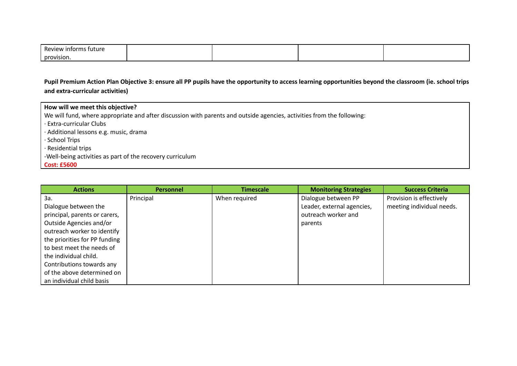| Review<br>- -----<br>: futur<br>m۶<br>нио |  |  |
|-------------------------------------------|--|--|
| provision.                                |  |  |

Pupil Premium Action Plan Objective 3: ensure all PP pupils have the opportunity to access learning opportunities beyond the classroom (ie. school trips **and extra-curricular activities)**

| How will we meet this objective?                                                                                       |
|------------------------------------------------------------------------------------------------------------------------|
| We will fund, where appropriate and after discussion with parents and outside agencies, activities from the following: |
| · Extra-curricular Clubs                                                                                               |
| · Additional lessons e.g. music, drama                                                                                 |
| $\cdot$ School Trips                                                                                                   |
| · Residential trips                                                                                                    |
| -Well-being activities as part of the recovery curriculum                                                              |
| <b>Cost: £5600</b>                                                                                                     |

| <b>Actions</b>                | <b>Personnel</b> | <b>Timescale</b> | <b>Monitoring Strategies</b> | <b>Success Criteria</b>   |
|-------------------------------|------------------|------------------|------------------------------|---------------------------|
| За.                           | Principal        | When required    | Dialogue between PP          | Provision is effectively  |
| Dialogue between the          |                  |                  | Leader, external agencies,   | meeting individual needs. |
| principal, parents or carers, |                  |                  | outreach worker and          |                           |
| Outside Agencies and/or       |                  |                  | parents                      |                           |
| outreach worker to identify   |                  |                  |                              |                           |
| the priorities for PP funding |                  |                  |                              |                           |
| to best meet the needs of     |                  |                  |                              |                           |
| the individual child.         |                  |                  |                              |                           |
| Contributions towards any     |                  |                  |                              |                           |
| of the above determined on    |                  |                  |                              |                           |
| an individual child basis     |                  |                  |                              |                           |